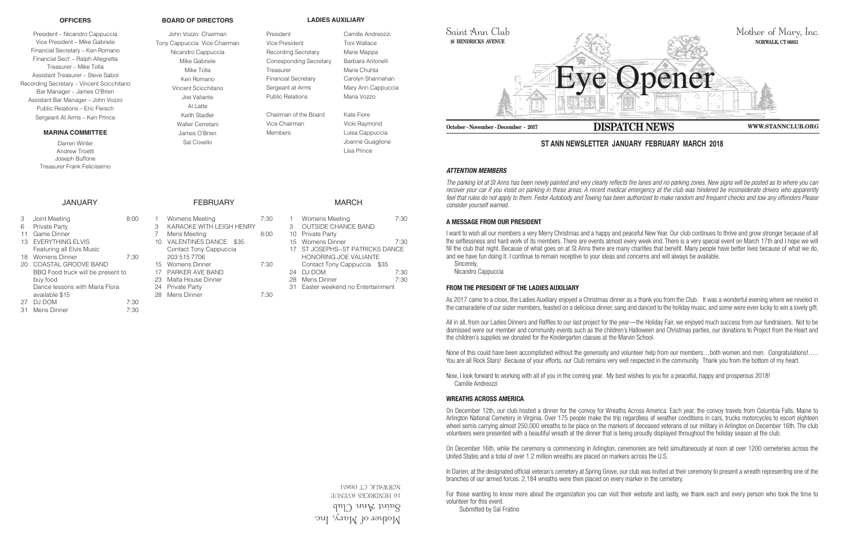Mother of Mary, Inc.  $\gamma$ ann ann Club **16 HENDRICKS AVENUE** 06851 NORWALK, CT



## *ATTENTION MEMBERS*

*The parking lot at St Anns has been newly painted and very clearly reflects fire lanes and no parking zones. New signs will be posted as to where you can recover your car if you insist on parking in these areas. A recent medical emergency at the club was hindered be inconsiderate drivers who apparently*  feel that rules do not apply to them. Fedor Autobody and Towing has been authorized to make random and frequent checks and tow any offenders Please *consider yourself warned.*

# **A MESSAGE FROM OUR PRESIDENT**

I want to wish all our members a very Merry Christmas and a happy and peaceful New Year. Our club continues to thrive and grow stronger because of all the selflessness and hard work of its members. There are events almost every week end. There is a very special event on March 17th and I hope we will fill the club that night. Because of what goes on at St Anns there are many charities that benefit. Many people have better lives because of what we do, and we have fun doing it. I continue to remain receptive to your ideas and concerns and will always be available. Sincerely,

Nicandro Cappuccia

## **FROM THE PRESIDENT OF THE LADIES AUXILIARY**

As 2017 came to a close, the Ladies Auxiliary enjoyed a Christmas dinner as a thank you from the Club. It was a wonderful evening where we reveled in the camaraderie of our sister members, feasted on a delicious dinner, sang and danced to the holiday music, and some were even lucky to win a lovely gift.

In Darien, at the designated official veteran's cemetery at Spring Grove, our club was invited at their ceremony to present a wreath representing one of the branches of our armed forces. 2,184 wreaths were then placed on every marker in the cemetery.

All in all, from our Ladies Dinners and Raffles to our last project for the year—the Holiday Fair, we enjoyed much success from our fundraisers. Not to be dismissed were our member and community events such as the children's Halloween and Christmas parties, our donations to Project from the Heart and the children's supplies we donated for the Kindergarten classes at the Marvin School.

None of this could have been accomplished without the generosity and volunteer help from our members…both women and men. Congratulations!….. You are all Rock Stars! Because of your efforts, our Club remains very well respected in the community. Thank you from the bottom of my heart.

President Camille Andreozzi Vice President Toni Wallace Recording Secretary Marie Mappa Corresponding Secretary Barbara Antonelli Treasurer Maria Chuhta Financial Secretary Carolyn Shannahan Sergeant at Arms Mary Ann Cappuccia Public Relations Maria Vozzo

> Now, I look forward to working with all of you in the coming year. My best wishes to you for a peaceful, happy and prosperous 2018! Camille Andreozzi

# **WREATHS ACROSS AMERICA**

- 3 Joint Meeting 8:00
- 6 Private Party
- 11 Game Dinner
- 13 EVERYTHING ELVIS Featuring all Elvis Music
- 18 Womens Dinner 7:30
- 20 COASTAL GROOVE BAND BBQ Food truck will be present to buy food Dance lessons with Maria Flora available \$15 27 DJ DOM 7:30
- 31 Mens Dinner 7:30

On December 12th, our club hosted a dinner for the convoy for Wreaths Across America. Each year, the convoy travels from Columbia Falls, Maine to Arlington National Cemetery in Virginia. Over 175 people make the trip regardless of weather conditions in cars, trucks motorcycles to escort eighteen wheel semis carrying almost 250,000 wreaths to be place on the markers of deceased veterans of our military in Arlington on December 16th. The club volunteers were presented with a beautiful wreath at the dinner that is being proudly displayed throughout the holiday season at the club.

On December 16th, while the ceremony is commencing in Arlington, ceremonies are held simultaneously at noon at over 1200 cemeteries across the United States and a total of over 1.2 million wreaths are placed on markers across the U.S.

For those wanting to know more about the organization you can visit their website and lastly, we thank each and every person who took the time to volunteer for this event.

Submitted by Sal Fratino

# **ST ANN NEWSLETTER JANUARY FEBRUARY MARCH 2018**

### **OFFICERS**

President – Nicandro Cappuccia Vice President – Mike Gabriele Financial Secretary – Ken Romano Financial Sect' – Ralph Allegretta Treasurer – Mike Tolla Assistant Treasurer – Steve Sabol Recording Secretary – Vincent Scicchitano Bar Manager – James O'Brien Assistant Bar Manager – John Vozzo Public Relations – Eric Fleisch Sergeant At Arms – Ken Prince

## **MARINA COMMITTEE**

Darren Winter Andrew Troetti Joseph Buffone Treasurer Frank Felicissimo

## **JANUARY**

## **BOARD OF DIRECTORS**

John Vozzo Chairman Tony Cappuccia Vice Chairman Nicandro Cappuccia Mike Gabriele Mike Tolla Ken Romano Vincent Scicchitano Joe Valiante Al Latte Keith Stadler Walter Cerretani James O'Brien Sal Covello

**LADIES AUXILIARY**

Chairman of the Board Kate Fiore Vice Chairman Vicki Raymond Members **Luisa Cappuccia** 

Joanne Guaglione Lisa Prince

FEBRUARY

1 Womens Meeting 7:30 3 KARAOKE WITH LEIGH HENRY 7 Mens Meeting 8:00

15 Womens Dinner 7:30

28 Mens Dinner 7:30

10 VALENTINES DANCE \$35 Contact Tony Cappuccia

203 515 7706

17 PARKER AVE BAND 23 Malta House Dinner 24 Private Party

# MARCH

- 1 Womens Meeting 7:30
- 3 OUTSIDE CHANCE BAND
- 10 Private Party
- 15 Womens Dinner 7:30
- 17 ST JOSEPHS--ST PATRICKS DANCE HONORING JOE VALIANTE Contact Tony Cappuccia \$35
- 24 DJ DOM 7:30
- 28 Mens Dinner 7:30 31 Easter weekend no Entertainment
-